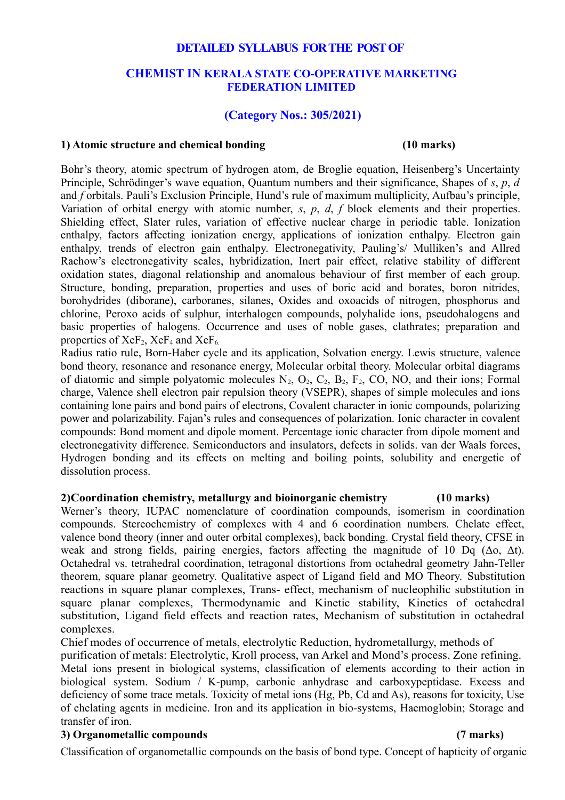# **DETAILED SYLLABUS FOR THE POST OF**

# **CHEMIST IN KERALA STATE CO-OPERATIVE MARKETING FEDERATION LIMITED**

# **(Category Nos.: 305/2021)**

## **1) Atomic structure and chemical bonding (10 marks)**

Bohr's theory, atomic spectrum of hydrogen atom, de Broglie equation, Heisenberg's Uncertainty Principle, Schrödinger's wave equation, Quantum numbers and their significance, Shapes of *s*, *p*, *d* and *f* orbitals. Pauli's Exclusion Principle, Hund's rule of maximum multiplicity, Aufbau's principle, Variation of orbital energy with atomic number, *s*, *p*, *d*, *f* block elements and their properties. Shielding effect, Slater rules, variation of effective nuclear charge in periodic table. Ionization enthalpy, factors affecting ionization energy, applications of ionization enthalpy. Electron gain enthalpy, trends of electron gain enthalpy. Electronegativity, Pauling's/ Mulliken's and Allred Rachow's electronegativity scales, hybridization, Inert pair effect, relative stability of different oxidation states, diagonal relationship and anomalous behaviour of first member of each group. Structure, bonding, preparation, properties and uses of boric acid and borates, boron nitrides, borohydrides (diborane), carboranes, silanes, Oxides and oxoacids of nitrogen, phosphorus and chlorine, Peroxo acids of sulphur, interhalogen compounds, polyhalide ions, pseudohalogens and basic properties of halogens. Occurrence and uses of noble gases, clathrates; preparation and properties of  $XeF_2$ ,  $XeF_4$  and  $XeF_6$ .

Radius ratio rule, Born-Haber cycle and its application, Solvation energy. Lewis structure, valence bond theory, resonance and resonance energy, Molecular orbital theory. Molecular orbital diagrams of diatomic and simple polyatomic molecules  $N_2$ ,  $O_2$ ,  $C_2$ ,  $B_2$ ,  $F_2$ ,  $CO$ ,  $NO$ , and their ions; Formal charge, Valence shell electron pair repulsion theory (VSEPR), shapes of simple molecules and ions containing lone pairs and bond pairs of electrons, Covalent character in ionic compounds, polarizing power and polarizability. Fajan's rules and consequences of polarization. Ionic character in covalent compounds: Bond moment and dipole moment. Percentage ionic character from dipole moment and electronegativity difference. Semiconductors and insulators, defects in solids. van der Waals forces, Hydrogen bonding and its effects on melting and boiling points, solubility and energetic of dissolution process.

# **2)Coordination chemistry, metallurgy and bioinorganic chemistry (10 marks)**

Werner's theory, IUPAC nomenclature of coordination compounds, isomerism in coordination compounds. Stereochemistry of complexes with 4 and 6 coordination numbers. Chelate effect, valence bond theory (inner and outer orbital complexes), back bonding. Crystal field theory, CFSE in weak and strong fields, pairing energies, factors affecting the magnitude of 10 Dq (Δo, Δt). Octahedral vs. tetrahedral coordination, tetragonal distortions from octahedral geometry Jahn-Teller theorem, square planar geometry. Qualitative aspect of Ligand field and MO Theory. Substitution reactions in square planar complexes, Trans- effect, mechanism of nucleophilic substitution in square planar complexes, Thermodynamic and Kinetic stability, Kinetics of octahedral substitution, Ligand field effects and reaction rates, Mechanism of substitution in octahedral complexes.

Chief modes of occurrence of metals, electrolytic Reduction, hydrometallurgy, methods of purification of metals: Electrolytic, Kroll process, van Arkel and Mond's process, Zone refining. Metal ions present in biological systems, classification of elements according to their action in biological system. Sodium / K-pump, carbonic anhydrase and carboxypeptidase. Excess and deficiency of some trace metals. Toxicity of metal ions (Hg, Pb, Cd and As), reasons for toxicity, Use of chelating agents in medicine. Iron and its application in bio-systems, Haemoglobin; Storage and transfer of iron.

# **3) Organometallic compounds (7 marks)**

Classification of organometallic compounds on the basis of bond type. Concept of hapticity of organic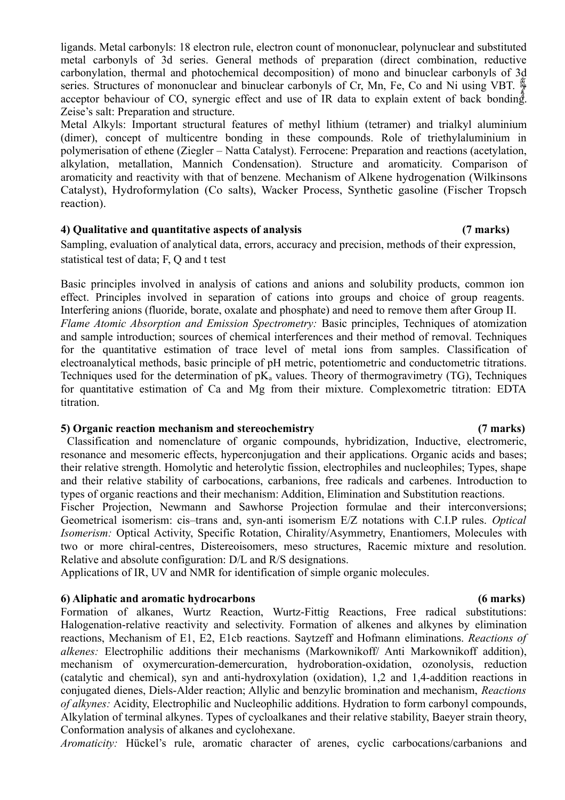ligands. Metal carbonyls: 18 electron rule, electron count of mononuclear, polynuclear and substituted metal carbonyls of 3d series. General methods of preparation (direct combination, reductive carbonylation, thermal and photochemical decomposition) of mono and binuclear carbonyls of 3d series. Structures of mononuclear and binuclear carbonyls of Cr, Mn, Fe, Co and Ni using VBT. acceptor behaviour of CO, synergic effect and use of IR data to explain extent of back bonding. Zeise's salt: Preparation and structure.

Metal Alkyls: Important structural features of methyl lithium (tetramer) and trialkyl aluminium (dimer), concept of multicentre bonding in these compounds. Role of triethylaluminium in polymerisation of ethene (Ziegler – Natta Catalyst). Ferrocene: Preparation and reactions (acetylation, alkylation, metallation, Mannich Condensation). Structure and aromaticity. Comparison of aromaticity and reactivity with that of benzene. Mechanism of Alkene hydrogenation (Wilkinsons Catalyst), Hydroformylation (Co salts), Wacker Process, Synthetic gasoline (Fischer Tropsch reaction).

### **4) Qualitative and quantitative aspects of analysis (7 marks)**

Sampling, evaluation of analytical data, errors, accuracy and precision, methods of their expression, statistical test of data; F, Q and t test

Basic principles involved in analysis of cations and anions and solubility products, common ion effect. Principles involved in separation of cations into groups and choice of group reagents. Interfering anions (fluoride, borate, oxalate and phosphate) and need to remove them after Group II. *Flame Atomic Absorption and Emission Spectrometry:* Basic principles, Techniques of atomization and sample introduction; sources of chemical interferences and their method of removal. Techniques for the quantitative estimation of trace level of metal ions from samples. Classification of electroanalytical methods, basic principle of pH metric, potentiometric and conductometric titrations. Techniques used for the determination of  $pK_a$  values. Theory of thermogravimetry (TG), Techniques for quantitative estimation of Ca and Mg from their mixture. Complexometric titration: EDTA titration.

### **5) Organic reaction mechanism and stereochemistry (7 marks)**

Classification and nomenclature of organic compounds, hybridization, Inductive, electromeric, resonance and mesomeric effects, hyperconjugation and their applications. Organic acids and bases; their relative strength. Homolytic and heterolytic fission, electrophiles and nucleophiles; Types, shape and their relative stability of carbocations, carbanions, free radicals and carbenes. Introduction to types of organic reactions and their mechanism: Addition, Elimination and Substitution reactions.

Fischer Projection, Newmann and Sawhorse Projection formulae and their interconversions; Geometrical isomerism: cis–trans and, syn-anti isomerism E/Z notations with C.I.P rules. *Optical Isomerism:* Optical Activity, Specific Rotation, Chirality/Asymmetry, Enantiomers, Molecules with two or more chiral-centres, Distereoisomers, meso structures, Racemic mixture and resolution. Relative and absolute configuration: D/L and R/S designations.

Applications of IR, UV and NMR for identification of simple organic molecules.

# **6) Aliphatic and aromatic hydrocarbons (6 marks)**

Formation of alkanes, Wurtz Reaction, Wurtz-Fittig Reactions, Free radical substitutions: Halogenation-relative reactivity and selectivity. Formation of alkenes and alkynes by elimination reactions, Mechanism of E1, E2, E1cb reactions. Saytzeff and Hofmann eliminations. *Reactions of alkenes:* Electrophilic additions their mechanisms (Markownikoff/ Anti Markownikoff addition), mechanism of oxymercuration-demercuration, hydroboration-oxidation, ozonolysis, reduction (catalytic and chemical), syn and anti-hydroxylation (oxidation), 1,2 and 1,4-addition reactions in conjugated dienes, Diels-Alder reaction; Allylic and benzylic bromination and mechanism, *Reactions of alkynes:* Acidity, Electrophilic and Nucleophilic additions. Hydration to form carbonyl compounds, Alkylation of terminal alkynes. Types of cycloalkanes and their relative stability, Baeyer strain theory, Conformation analysis of alkanes and cyclohexane.

*Aromaticity:* Hückel's rule, aromatic character of arenes, cyclic carbocations/carbanions and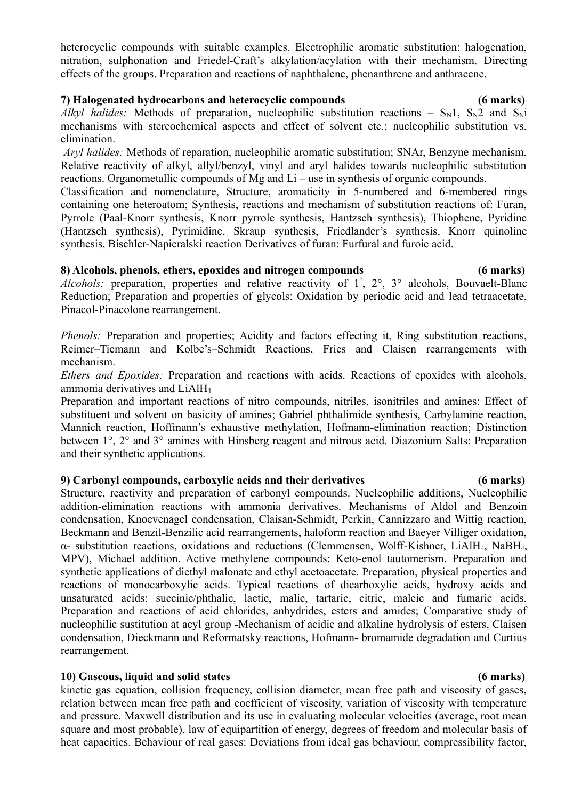heterocyclic compounds with suitable examples. Electrophilic aromatic substitution: halogenation, nitration, sulphonation and Friedel-Craft's alkylation/acylation with their mechanism. Directing effects of the groups. Preparation and reactions of naphthalene, phenanthrene and anthracene.

## **7) Halogenated hydrocarbons and heterocyclic compounds (6 marks)**

*Alkyl halides:* Methods of preparation, nucleophilic substitution reactions –  $S_N1$ ,  $S_N2$  and  $S_Ni$ mechanisms with stereochemical aspects and effect of solvent etc.; nucleophilic substitution vs. elimination.

 *Aryl halides:* Methods of reparation, nucleophilic aromatic substitution; SNAr, Benzyne mechanism. Relative reactivity of alkyl, allyl/benzyl, vinyl and aryl halides towards nucleophilic substitution reactions. Organometallic compounds of Mg and Li – use in synthesis of organic compounds.

Classification and nomenclature, Structure, aromaticity in 5-numbered and 6-membered rings containing one heteroatom; Synthesis, reactions and mechanism of substitution reactions of: Furan, Pyrrole (Paal-Knorr synthesis, Knorr pyrrole synthesis, Hantzsch synthesis), Thiophene, Pyridine (Hantzsch synthesis), Pyrimidine, Skraup synthesis, Friedlander's synthesis, Knorr quinoline synthesis, Bischler-Napieralski reaction Derivatives of furan: Furfural and furoic acid.

## **8) Alcohols, phenols, ethers, epoxides and nitrogen compounds (6 marks)**

Alcohols: preparation, properties and relative reactivity of 1<sup>°</sup>, 2<sup>°</sup>, 3<sup>°</sup> alcohols, Bouvaelt-Blanc Reduction; Preparation and properties of glycols: Oxidation by periodic acid and lead tetraacetate, Pinacol-Pinacolone rearrangement.

*Phenols:* Preparation and properties; Acidity and factors effecting it, Ring substitution reactions, Reimer–Tiemann and Kolbe's–Schmidt Reactions, Fries and Claisen rearrangements with mechanism.

*Ethers and Epoxides:* Preparation and reactions with acids. Reactions of epoxides with alcohols, ammonia derivatives and LiAlH<sup>4</sup>

Preparation and important reactions of nitro compounds, nitriles, isonitriles and amines: Effect of substituent and solvent on basicity of amines; Gabriel phthalimide synthesis, Carbylamine reaction, Mannich reaction, Hoffmann's exhaustive methylation, Hofmann-elimination reaction; Distinction between 1°, 2° and 3° amines with Hinsberg reagent and nitrous acid. Diazonium Salts: Preparation and their synthetic applications.

## **9) Carbonyl compounds, carboxylic acids and their derivatives (6 marks)**

Structure, reactivity and preparation of carbonyl compounds. Nucleophilic additions, Nucleophilic addition-elimination reactions with ammonia derivatives. Mechanisms of Aldol and Benzoin condensation, Knoevenagel condensation, Claisan-Schmidt, Perkin, Cannizzaro and Wittig reaction, Beckmann and Benzil-Benzilic acid rearrangements, haloform reaction and Baeyer Villiger oxidation, α- substitution reactions, oxidations and reductions (Clemmensen, Wolff-Kishner, LiAlH4, NaBH4, MPV), Michael addition. Active methylene compounds: Keto-enol tautomerism. Preparation and synthetic applications of diethyl malonate and ethyl acetoacetate. Preparation, physical properties and reactions of monocarboxylic acids. Typical reactions of dicarboxylic acids, hydroxy acids and unsaturated acids: succinic/phthalic, lactic, malic, tartaric, citric, maleic and fumaric acids. Preparation and reactions of acid chlorides, anhydrides, esters and amides; Comparative study of nucleophilic sustitution at acyl group -Mechanism of acidic and alkaline hydrolysis of esters, Claisen condensation, Dieckmann and Reformatsky reactions, Hofmann- bromamide degradation and Curtius rearrangement.

## **10) Gaseous, liquid and solid states (6 marks)**

kinetic gas equation, collision frequency, collision diameter, mean free path and viscosity of gases, relation between mean free path and coefficient of viscosity, variation of viscosity with temperature and pressure. Maxwell distribution and its use in evaluating molecular velocities (average, root mean square and most probable), law of equipartition of energy, degrees of freedom and molecular basis of heat capacities. Behaviour of real gases: Deviations from ideal gas behaviour, compressibility factor,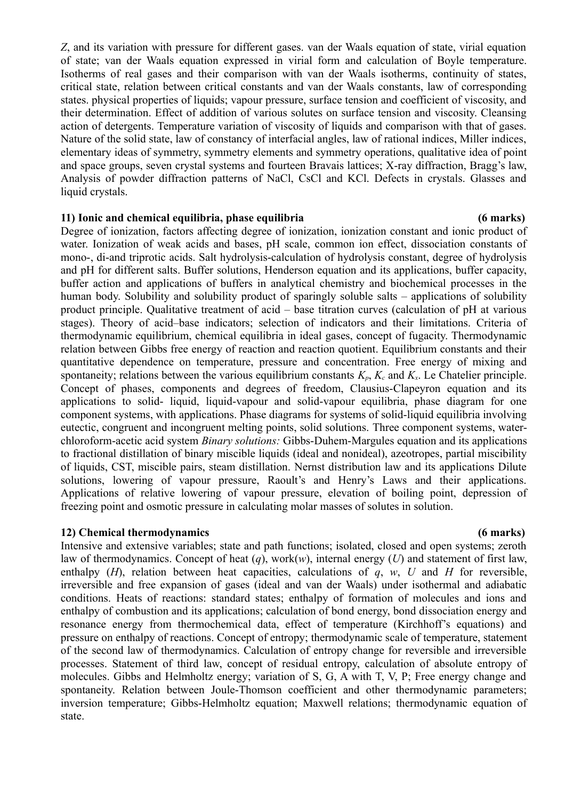*Z*, and its variation with pressure for different gases. van der Waals equation of state, virial equation of state; van der Waals equation expressed in virial form and calculation of Boyle temperature. Isotherms of real gases and their comparison with van der Waals isotherms, continuity of states, critical state, relation between critical constants and van der Waals constants, law of corresponding states. physical properties of liquids; vapour pressure, surface tension and coefficient of viscosity, and their determination. Effect of addition of various solutes on surface tension and viscosity. Cleansing action of detergents. Temperature variation of viscosity of liquids and comparison with that of gases. Nature of the solid state, law of constancy of interfacial angles, law of rational indices, Miller indices, elementary ideas of symmetry, symmetry elements and symmetry operations, qualitative idea of point and space groups, seven crystal systems and fourteen Bravais lattices; X-ray diffraction, Bragg's law, Analysis of powder diffraction patterns of NaCl, CsCl and KCl. Defects in crystals. Glasses and liquid crystals.

### **11) Ionic and chemical equilibria, phase equilibria (6 marks)**

Degree of ionization, factors affecting degree of ionization, ionization constant and ionic product of water. Ionization of weak acids and bases, pH scale, common ion effect, dissociation constants of mono-, di-and triprotic acids. Salt hydrolysis-calculation of hydrolysis constant, degree of hydrolysis and pH for different salts. Buffer solutions, Henderson equation and its applications, buffer capacity, buffer action and applications of buffers in analytical chemistry and biochemical processes in the human body. Solubility and solubility product of sparingly soluble salts – applications of solubility product principle. Qualitative treatment of acid – base titration curves (calculation of pH at various stages). Theory of acid–base indicators; selection of indicators and their limitations. Criteria of thermodynamic equilibrium, chemical equilibria in ideal gases, concept of fugacity. Thermodynamic relation between Gibbs free energy of reaction and reaction quotient. Equilibrium constants and their quantitative dependence on temperature, pressure and concentration. Free energy of mixing and spontaneity; relations between the various equilibrium constants  $K_p$ ,  $K_c$  and  $K_x$ . Le Chatelier principle. Concept of phases, components and degrees of freedom, Clausius-Clapeyron equation and its applications to solid- liquid, liquid-vapour and solid-vapour equilibria, phase diagram for one component systems, with applications. Phase diagrams for systems of solid-liquid equilibria involving eutectic, congruent and incongruent melting points, solid solutions. Three component systems, waterchloroform-acetic acid system *Binary solutions:* Gibbs-Duhem-Margules equation and its applications to fractional distillation of binary miscible liquids (ideal and nonideal), azeotropes, partial miscibility of liquids, CST, miscible pairs, steam distillation. Nernst distribution law and its applications Dilute solutions, lowering of vapour pressure, Raoult's and Henry's Laws and their applications. Applications of relative lowering of vapour pressure, elevation of boiling point, depression of freezing point and osmotic pressure in calculating molar masses of solutes in solution.

### **12) Chemical thermodynamics (6 marks)**

Intensive and extensive variables; state and path functions; isolated, closed and open systems; zeroth law of thermodynamics. Concept of heat (*q*), work(*w*), internal energy (*U*) and statement of first law, enthalpy (*H*), relation between heat capacities, calculations of *q*, *w*, *U* and *H* for reversible, irreversible and free expansion of gases (ideal and van der Waals) under isothermal and adiabatic conditions. Heats of reactions: standard states; enthalpy of formation of molecules and ions and enthalpy of combustion and its applications; calculation of bond energy, bond dissociation energy and resonance energy from thermochemical data, effect of temperature (Kirchhoff's equations) and pressure on enthalpy of reactions. Concept of entropy; thermodynamic scale of temperature, statement of the second law of thermodynamics. Calculation of entropy change for reversible and irreversible processes. Statement of third law, concept of residual entropy, calculation of absolute entropy of molecules. Gibbs and Helmholtz energy; variation of S, G, A with T, V, P; Free energy change and spontaneity. Relation between Joule-Thomson coefficient and other thermodynamic parameters; inversion temperature; Gibbs-Helmholtz equation; Maxwell relations; thermodynamic equation of state.